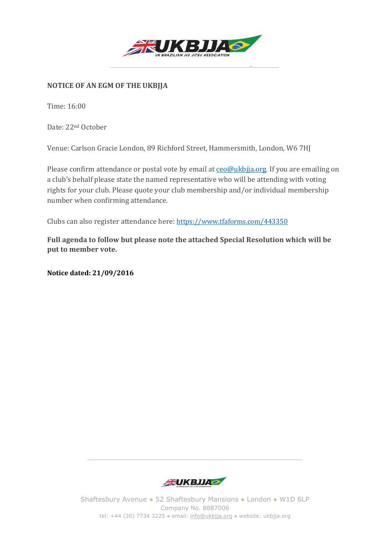

## **NOTICE OF AN EGM OF THE UKBJJA**

Time: 16:00

Date: 22nd October

Venue: Carlson Gracie London, 89 Richford Street, Hammersmith, London, W6 7HJ

Please confirm attendance or postal vote by email at ceo@ukbjja.org. If you are emailing on a club's behalf please state the named representative who will be attending with voting rights for your club. Please quote your club membership and/or individual membership number when confirming attendance.

Clubs can also register attendance here: <https://www.tfaforms.com/443350>

**Full agenda to follow but please note the attached Special Resolution which will be put to member vote.** 

**Notice dated: 21/09/2016** 



Shaftesbury Avenue ● 52 Shaftesbury Mansions ● London ● W1D 6LP Company No. 8887006 tel: +44 (20) 7734 3225 ● email: info@ukbjja.org ● website: ukbjja.org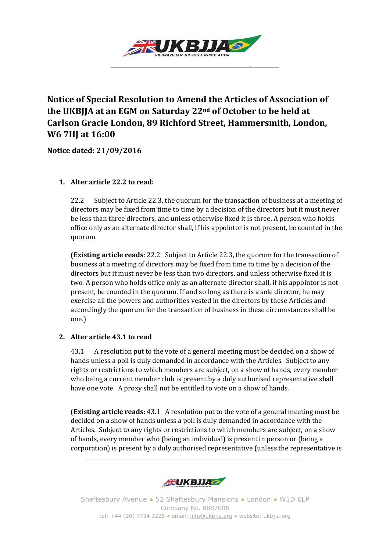

# **Notice of Special Resolution to Amend the Articles of Association of the UKBJJA at an EGM on Saturday 22nd of October to be held at Carlson Gracie London, 89 Richford Street, Hammersmith, London, W6 7HJ at 16:00**

**Notice dated: 21/09/2016** 

### **1. Alter article 22.2 to read:**

22.2 Subject to Article 22.3, the quorum for the transaction of business at a meeting of directors may be fixed from time to time by a decision of the directors but it must never be less than three directors, and unless otherwise fixed it is three. A person who holds office only as an alternate director shall, if his appointor is not present, be counted in the quorum.

(**Existing article reads**: 22.2 Subject to Article 22.3, the quorum for the transaction of business at a meeting of directors may be fixed from time to time by a decision of the directors but it must never be less than two directors, and unless otherwise fixed it is two. A person who holds office only as an alternate director shall, if his appointor is not present, be counted in the quorum. If and so long as there is a sole director, he may exercise all the powers and authorities vested in the directors by these Articles and accordingly the quorum for the transaction of business in these circumstances shall be one.)

## **2. Alter article 43.1 to read**

43.1 A resolution put to the vote of a general meeting must be decided on a show of hands unless a poll is duly demanded in accordance with the Articles. Subject to any rights or restrictions to which members are subject, on a show of hands, every member who being a current member club is present by a duly authorised representative shall have one vote. A proxy shall not be entitled to vote on a show of hands.

(**Existing article reads:** 43.1 A resolution put to the vote of a general meeting must be decided on a show of hands unless a poll is duly demanded in accordance with the Articles. Subject to any rights or restrictions to which members are subject, on a show of hands, every member who (being an individual) is present in person or (being a corporation) is present by a duly authorised representative (unless the representative is



Shaftesbury Avenue ● 52 Shaftesbury Mansions ● London ● W1D 6LP Company No. 8887006 tel: +44 (20) 7734 3225 · email: info@ukbjja.org · website: ukbjja.org